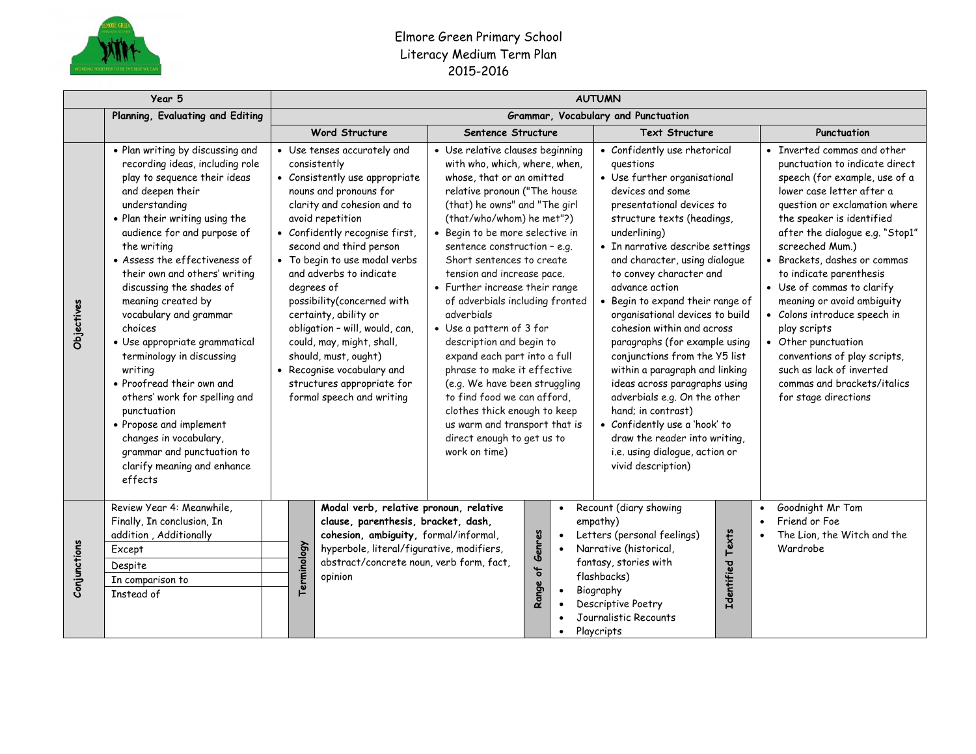

## Elmore Green Primary School Literacy Medium Term Plan 2015-2016

|              | Year 5                                                                                                                                                                                                                                                                                                                                                                                                                                                                                                                                                                                                                                                               |                                                                                                                                                                                                                                                                                                                                                                                                                                                                                                                                          |                                                                                                                                                                                                                                                                                                                                                                                                                                                                                                                                                                                                                                                                                                                      | <b>AUTUMN</b>                                                                                                                                                                                                                                                                                                                                                                                                                                                                                                                                                                                                                                                                                                        |                                                                                                                                                                                                                                                                                                                                                                                                                                                                                                                                                                  |
|--------------|----------------------------------------------------------------------------------------------------------------------------------------------------------------------------------------------------------------------------------------------------------------------------------------------------------------------------------------------------------------------------------------------------------------------------------------------------------------------------------------------------------------------------------------------------------------------------------------------------------------------------------------------------------------------|------------------------------------------------------------------------------------------------------------------------------------------------------------------------------------------------------------------------------------------------------------------------------------------------------------------------------------------------------------------------------------------------------------------------------------------------------------------------------------------------------------------------------------------|----------------------------------------------------------------------------------------------------------------------------------------------------------------------------------------------------------------------------------------------------------------------------------------------------------------------------------------------------------------------------------------------------------------------------------------------------------------------------------------------------------------------------------------------------------------------------------------------------------------------------------------------------------------------------------------------------------------------|----------------------------------------------------------------------------------------------------------------------------------------------------------------------------------------------------------------------------------------------------------------------------------------------------------------------------------------------------------------------------------------------------------------------------------------------------------------------------------------------------------------------------------------------------------------------------------------------------------------------------------------------------------------------------------------------------------------------|------------------------------------------------------------------------------------------------------------------------------------------------------------------------------------------------------------------------------------------------------------------------------------------------------------------------------------------------------------------------------------------------------------------------------------------------------------------------------------------------------------------------------------------------------------------|
|              | Planning, Evaluating and Editing                                                                                                                                                                                                                                                                                                                                                                                                                                                                                                                                                                                                                                     | Grammar, Vocabulary and Punctuation                                                                                                                                                                                                                                                                                                                                                                                                                                                                                                      |                                                                                                                                                                                                                                                                                                                                                                                                                                                                                                                                                                                                                                                                                                                      |                                                                                                                                                                                                                                                                                                                                                                                                                                                                                                                                                                                                                                                                                                                      |                                                                                                                                                                                                                                                                                                                                                                                                                                                                                                                                                                  |
|              |                                                                                                                                                                                                                                                                                                                                                                                                                                                                                                                                                                                                                                                                      | <b>Word Structure</b>                                                                                                                                                                                                                                                                                                                                                                                                                                                                                                                    | Sentence Structure                                                                                                                                                                                                                                                                                                                                                                                                                                                                                                                                                                                                                                                                                                   | <b>Text Structure</b>                                                                                                                                                                                                                                                                                                                                                                                                                                                                                                                                                                                                                                                                                                | Punctuation                                                                                                                                                                                                                                                                                                                                                                                                                                                                                                                                                      |
| Objectives   | . Plan writing by discussing and<br>recording ideas, including role<br>play to sequence their ideas<br>and deepen their<br>understanding<br>. Plan their writing using the<br>audience for and purpose of<br>the writing<br>• Assess the effectiveness of<br>their own and others' writing<br>discussing the shades of<br>meaning created by<br>vocabulary and grammar<br>choices<br>· Use appropriate grammatical<br>terminology in discussing<br>writing<br>• Proofread their own and<br>others' work for spelling and<br>punctuation<br>• Propose and implement<br>changes in vocabulary,<br>grammar and punctuation to<br>clarify meaning and enhance<br>effects | • Use tenses accurately and<br>consistently<br>• Consistently use appropriate<br>nouns and pronouns for<br>clarity and cohesion and to<br>avoid repetition<br>• Confidently recognise first,<br>second and third person<br>• To begin to use modal verbs<br>and adverbs to indicate<br>degrees of<br>possibility(concerned with<br>certainty, ability or<br>obligation - will, would, can,<br>could, may, might, shall,<br>should, must, ought)<br>• Recognise vocabulary and<br>structures appropriate for<br>formal speech and writing | • Use relative clauses beginning<br>with who, which, where, when,<br>whose, that or an omitted<br>relative pronoun ("The house<br>(that) he owns" and "The girl<br>(that/who/whom) he met"?)<br>· Begin to be more selective in<br>sentence construction - e.g.<br>Short sentences to create<br>tension and increase pace.<br>• Further increase their range<br>of adverbials including fronted<br>adverbials<br>• Use a pattern of 3 for<br>description and begin to<br>expand each part into a full<br>phrase to make it effective<br>(e.g. We have been struggling<br>to find food we can afford.<br>clothes thick enough to keep<br>us warm and transport that is<br>direct enough to get us to<br>work on time) | • Confidently use rhetorical<br>questions<br>• Use further organisational<br>devices and some<br>presentational devices to<br>structure texts (headings,<br>underlining)<br>• In narrative describe settings<br>and character, using dialogue<br>to convey character and<br>advance action<br>• Begin to expand their range of<br>organisational devices to build<br>cohesion within and across<br>paragraphs (for example using<br>conjunctions from the Y5 list<br>within a paragraph and linking<br>ideas across paragraphs using<br>adverbials e.g. On the other<br>hand; in contrast)<br>• Confidently use a 'hook' to<br>draw the reader into writing,<br>i.e. using dialogue, action or<br>vivid description) | • Inverted commas and other<br>punctuation to indicate direct<br>speech (for example, use of a<br>lower case letter after a<br>question or exclamation where<br>the speaker is identified<br>after the dialogue e.g. "Stop1"<br>screeched Mum.)<br>• Brackets, dashes or commas<br>to indicate parenthesis<br>• Use of commas to clarify<br>meaning or avoid ambiguity<br>• Colons introduce speech in<br>play scripts<br>• Other punctuation<br>conventions of play scripts,<br>such as lack of inverted<br>commas and brackets/italics<br>for stage directions |
| Conjunctions | Review Year 4: Meanwhile,<br>Finally, In conclusion, In<br>addition, Additionally<br>Except<br>Despite<br>In comparison to<br>Instead of                                                                                                                                                                                                                                                                                                                                                                                                                                                                                                                             | Modal verb, relative pronoun, relative<br>clause, parenthesis, bracket, dash,<br>cohesion, ambiguity, formal/informal,<br>Terminology<br>hyperbole, literal/figurative, modifiers,<br>abstract/concrete noun, verb form, fact,<br>opinion                                                                                                                                                                                                                                                                                                | $\bullet$<br>Range of Genres<br>$\bullet$<br>$\bullet$<br>$\bullet$<br>$\bullet$<br>$\bullet$                                                                                                                                                                                                                                                                                                                                                                                                                                                                                                                                                                                                                        | Recount (diary showing<br>empathy)<br>Identified Texts<br>Letters (personal feelings)<br>Narrative (historical,<br>fantasy, stories with<br>flashbacks)<br>Biography<br>Descriptive Poetry<br>Journalistic Recounts<br>Playcripts                                                                                                                                                                                                                                                                                                                                                                                                                                                                                    | Goodnight Mr Tom<br>$\bullet$<br>Friend or Foe<br>$\bullet$<br>The Lion, the Witch and the<br>Wardrobe                                                                                                                                                                                                                                                                                                                                                                                                                                                           |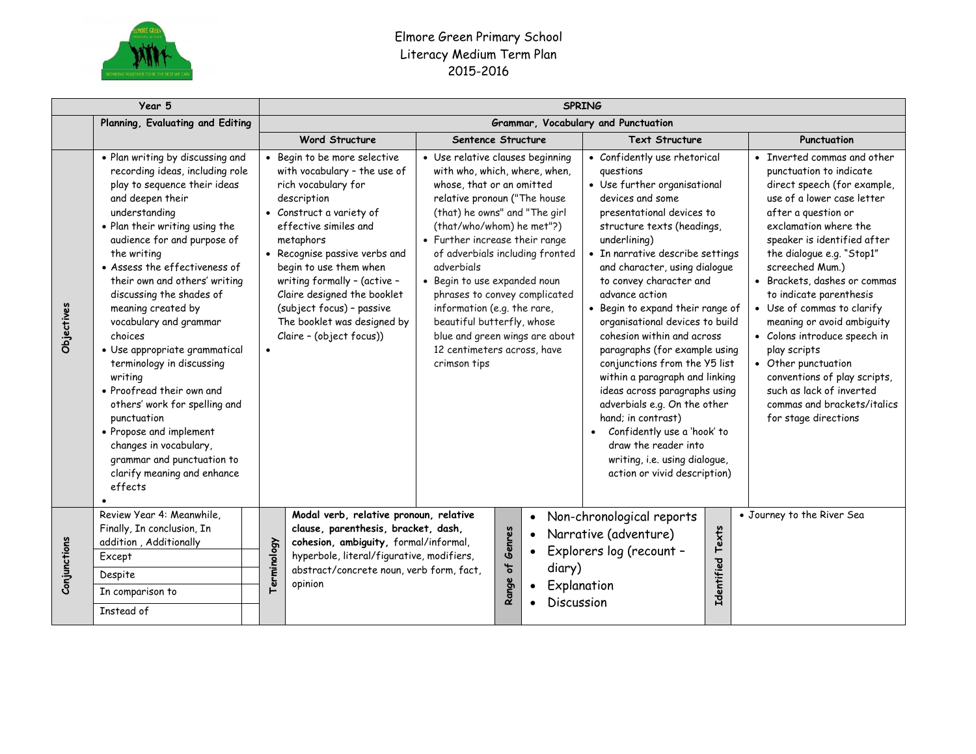

## Elmore Green Primary School Literacy Medium Term Plan 2015-2016

| Year 5                           |                                                                                                                                                                                                                                                                                                                                                                                                                                                                                                                                                                                                                                                                      | <b>SPRING</b>                                                                                                                                                                                                                                                                                                                                                                          |                                                                                                                                                                                                                                                                                                                                                                                                                                                                                                |                                                                                                                                                                                                                                                                                                                                                                                                                                                                                                                                                                                                                                                                                                                    |                                                                                                                                                                                                                                                                                                                                                                                                                                                                                                                                                                     |  |  |
|----------------------------------|----------------------------------------------------------------------------------------------------------------------------------------------------------------------------------------------------------------------------------------------------------------------------------------------------------------------------------------------------------------------------------------------------------------------------------------------------------------------------------------------------------------------------------------------------------------------------------------------------------------------------------------------------------------------|----------------------------------------------------------------------------------------------------------------------------------------------------------------------------------------------------------------------------------------------------------------------------------------------------------------------------------------------------------------------------------------|------------------------------------------------------------------------------------------------------------------------------------------------------------------------------------------------------------------------------------------------------------------------------------------------------------------------------------------------------------------------------------------------------------------------------------------------------------------------------------------------|--------------------------------------------------------------------------------------------------------------------------------------------------------------------------------------------------------------------------------------------------------------------------------------------------------------------------------------------------------------------------------------------------------------------------------------------------------------------------------------------------------------------------------------------------------------------------------------------------------------------------------------------------------------------------------------------------------------------|---------------------------------------------------------------------------------------------------------------------------------------------------------------------------------------------------------------------------------------------------------------------------------------------------------------------------------------------------------------------------------------------------------------------------------------------------------------------------------------------------------------------------------------------------------------------|--|--|
| Planning, Evaluating and Editing |                                                                                                                                                                                                                                                                                                                                                                                                                                                                                                                                                                                                                                                                      | Grammar, Vocabulary and Punctuation                                                                                                                                                                                                                                                                                                                                                    |                                                                                                                                                                                                                                                                                                                                                                                                                                                                                                |                                                                                                                                                                                                                                                                                                                                                                                                                                                                                                                                                                                                                                                                                                                    |                                                                                                                                                                                                                                                                                                                                                                                                                                                                                                                                                                     |  |  |
|                                  |                                                                                                                                                                                                                                                                                                                                                                                                                                                                                                                                                                                                                                                                      | <b>Word Structure</b>                                                                                                                                                                                                                                                                                                                                                                  | Sentence Structure                                                                                                                                                                                                                                                                                                                                                                                                                                                                             | <b>Text Structure</b>                                                                                                                                                                                                                                                                                                                                                                                                                                                                                                                                                                                                                                                                                              | Punctuation                                                                                                                                                                                                                                                                                                                                                                                                                                                                                                                                                         |  |  |
| Objectives                       | . Plan writing by discussing and<br>recording ideas, including role<br>play to sequence their ideas<br>and deepen their<br>understanding<br>. Plan their writing using the<br>audience for and purpose of<br>the writing<br>• Assess the effectiveness of<br>their own and others' writing<br>discussing the shades of<br>meaning created by<br>vocabulary and grammar<br>choices<br>· Use appropriate grammatical<br>terminology in discussing<br>writing<br>• Proofread their own and<br>others' work for spelling and<br>punctuation<br>• Propose and implement<br>changes in vocabulary,<br>grammar and punctuation to<br>clarify meaning and enhance<br>effects | • Begin to be more selective<br>with vocabulary - the use of<br>rich vocabulary for<br>description<br>• Construct a variety of<br>effective similes and<br>metaphors<br>• Recognise passive verbs and<br>begin to use them when<br>writing formally - (active -<br>Claire designed the booklet<br>(subject focus) - passive<br>The booklet was designed by<br>Claire - (object focus)) | • Use relative clauses beginning<br>with who, which, where, when,<br>whose, that or an omitted<br>relative pronoun ("The house<br>(that) he owns" and "The girl<br>(that/who/whom) he met"?)<br>• Further increase their range<br>of adverbials including fronted<br>adverbials<br>· Begin to use expanded noun<br>phrases to convey complicated<br>information (e.g. the rare,<br>beautiful butterfly, whose<br>blue and green wings are about<br>12 centimeters across, have<br>crimson tips | • Confidently use rhetorical<br>questions<br>• Use further organisational<br>devices and some<br>presentational devices to<br>structure texts (headings,<br>underlining)<br>• In narrative describe settings<br>and character, using dialogue<br>to convey character and<br>advance action<br>• Begin to expand their range of<br>organisational devices to build<br>cohesion within and across<br>paragraphs (for example using<br>conjunctions from the Y5 list<br>within a paragraph and linking<br>ideas across paragraphs using<br>adverbials e.g. On the other<br>hand: in contrast)<br>Confidently use a 'hook' to<br>draw the reader into<br>writing, i.e. using dialogue,<br>action or vivid description) | • Inverted commas and other<br>punctuation to indicate<br>direct speech (for example,<br>use of a lower case letter<br>after a question or<br>exclamation where the<br>speaker is identified after<br>the dialogue e.g. "Stop1"<br>screeched Mum.)<br>• Brackets, dashes or commas<br>to indicate parenthesis<br>• Use of commas to clarify<br>meaning or avoid ambiguity<br>• Colons introduce speech in<br>play scripts<br>• Other punctuation<br>conventions of play scripts,<br>such as lack of inverted<br>commas and brackets/italics<br>for stage directions |  |  |
| Conjunctions                     | Review Year 4: Meanwhile,<br>Finally, In conclusion, In<br>addition, Additionally<br>Except<br>Despite<br>In comparison to<br>Instead of                                                                                                                                                                                                                                                                                                                                                                                                                                                                                                                             | Modal verb, relative pronoun, relative<br>clause, parenthesis, bracket, dash,<br>cohesion, ambiguity, formal/informal,<br>Terminology<br>hyperbole, literal/figurative, modifiers,<br>abstract/concrete noun, verb form, fact,<br>opinion                                                                                                                                              | Genres<br>$\mathbf{a}$<br>Range                                                                                                                                                                                                                                                                                                                                                                                                                                                                | Non-chronological reports<br>Narrative (adventure)<br>Explorers log (recount -<br>diary)<br>Explanation<br>Discussion                                                                                                                                                                                                                                                                                                                                                                                                                                                                                                                                                                                              | • Journey to the River Sea<br>Identified Texts                                                                                                                                                                                                                                                                                                                                                                                                                                                                                                                      |  |  |